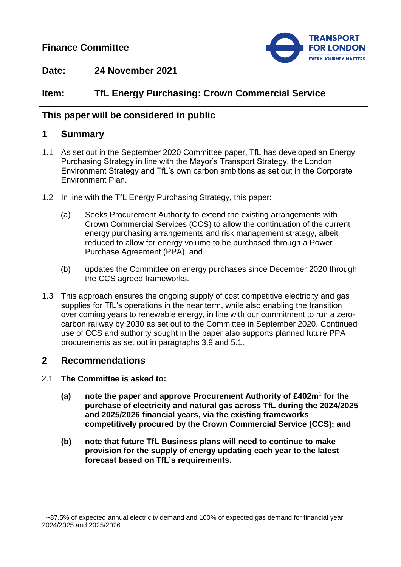**Finance Committee**



**Date: 24 November 2021**

# **Item: TfL Energy Purchasing: Crown Commercial Service**

## **This paper will be considered in public**

## **1 Summary**

- 1.1 As set out in the September 2020 Committee paper, TfL has developed an Energy Purchasing Strategy in line with the Mayor's Transport Strategy, the London Environment Strategy and TfL's own carbon ambitions as set out in the Corporate Environment Plan.
- 1.2 In line with the TfL Energy Purchasing Strategy, this paper:
	- (a) Seeks Procurement Authority to extend the existing arrangements with Crown Commercial Services (CCS) to allow the continuation of the current energy purchasing arrangements and risk management strategy, albeit reduced to allow for energy volume to be purchased through a Power Purchase Agreement (PPA), and
	- (b) updates the Committee on energy purchases since December 2020 through the CCS agreed frameworks.
- 1.3 This approach ensures the ongoing supply of cost competitive electricity and gas supplies for TfL's operations in the near term, while also enabling the transition over coming years to renewable energy, in line with our commitment to run a zerocarbon railway by 2030 as set out to the Committee in September 2020. Continued use of CCS and authority sought in the paper also supports planned future PPA procurements as set out in paragraphs 3.9 and 5.1.

## **2 Recommendations**

- 2.1 **The Committee is asked to:**
	- **(a) note the paper and approve Procurement Authority of £402m<sup>1</sup> for the purchase of electricity and natural gas across TfL during the 2024/2025 and 2025/2026 financial years, via the existing frameworks competitively procured by the Crown Commercial Service (CCS); and**
	- **(b) note that future TfL Business plans will need to continue to make provision for the supply of energy updating each year to the latest forecast based on TfL's requirements.**

 $\overline{a}$ <sup>1</sup> ~87.5% of expected annual electricity demand and 100% of expected gas demand for financial year 2024/2025 and 2025/2026.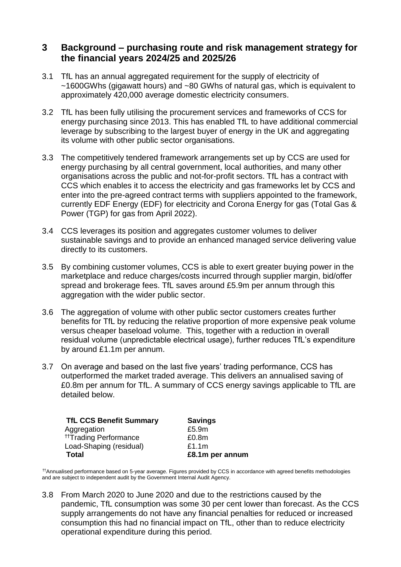## **3 Background – purchasing route and risk management strategy for the financial years 2024/25 and 2025/26**

- 3.1 TfL has an annual aggregated requirement for the supply of electricity of ~1600GWhs (gigawatt hours) and ~80 GWhs of natural gas, which is equivalent to approximately 420,000 average domestic electricity consumers.
- 3.2 TfL has been fully utilising the procurement services and frameworks of CCS for energy purchasing since 2013. This has enabled TfL to have additional commercial leverage by subscribing to the largest buyer of energy in the UK and aggregating its volume with other public sector organisations.
- 3.3 The competitively tendered framework arrangements set up by CCS are used for energy purchasing by all central government, local authorities, and many other organisations across the public and not-for-profit sectors. TfL has a contract with CCS which enables it to access the electricity and gas frameworks let by CCS and enter into the pre-agreed contract terms with suppliers appointed to the framework, currently EDF Energy (EDF) for electricity and Corona Energy for gas (Total Gas & Power (TGP) for gas from April 2022).
- 3.4 CCS leverages its position and aggregates customer volumes to deliver sustainable savings and to provide an enhanced managed service delivering value directly to its customers.
- 3.5 By combining customer volumes, CCS is able to exert greater buying power in the marketplace and reduce charges/costs incurred through supplier margin, bid/offer spread and brokerage fees. TfL saves around £5.9m per annum through this aggregation with the wider public sector.
- 3.6 The aggregation of volume with other public sector customers creates further benefits for TfL by reducing the relative proportion of more expensive peak volume versus cheaper baseload volume. This, together with a reduction in overall residual volume (unpredictable electrical usage), further reduces TfL's expenditure by around £1.1m per annum.
- 3.7 On average and based on the last five years' trading performance, CCS has outperformed the market traded average. This delivers an annualised saving of £0.8m per annum for TfL. A summary of CCS energy savings applicable to TfL are detailed below.

| <b>TfL CCS Benefit Summary</b>    | <b>Savings</b>    |
|-----------------------------------|-------------------|
| Aggregation                       | £5.9m             |
| <sup>††</sup> Trading Performance | £0.8 <sub>m</sub> |
| Load-Shaping (residual)           | £1.1m             |
| Total                             | £8.1m per annum   |

††Annualised performance based on 5-year average. Figures provided by CCS in accordance with agreed benefits methodologies and are subject to independent audit by the Government Internal Audit Agency.

3.8 From March 2020 to June 2020 and due to the restrictions caused by the pandemic, TfL consumption was some 30 per cent lower than forecast. As the CCS supply arrangements do not have any financial penalties for reduced or increased consumption this had no financial impact on TfL, other than to reduce electricity operational expenditure during this period.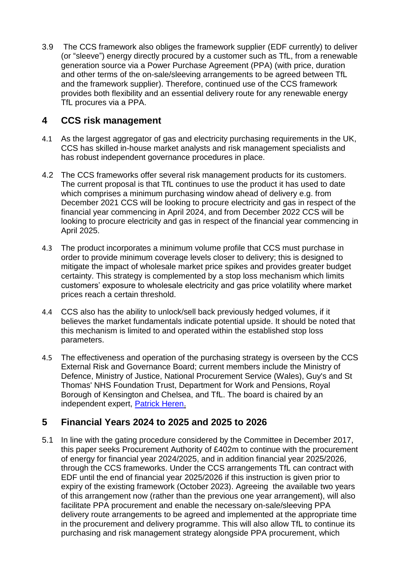3.9 The CCS framework also obliges the framework supplier (EDF currently) to deliver (or "sleeve") energy directly procured by a customer such as TfL, from a renewable generation source via a Power Purchase Agreement (PPA) (with price, duration and other terms of the on-sale/sleeving arrangements to be agreed between TfL and the framework supplier). Therefore, continued use of the CCS framework provides both flexibility and an essential delivery route for any renewable energy TfL procures via a PPA.

## **4 CCS risk management**

- 4.1 As the largest aggregator of gas and electricity purchasing requirements in the UK, CCS has skilled in-house market analysts and risk management specialists and has robust independent governance procedures in place.
- 4.2 The CCS frameworks offer several risk management products for its customers. The current proposal is that TfL continues to use the product it has used to date which comprises a minimum purchasing window ahead of delivery e.g. from December 2021 CCS will be looking to procure electricity and gas in respect of the financial year commencing in April 2024, and from December 2022 CCS will be looking to procure electricity and gas in respect of the financial year commencing in April 2025.
- 4.3 The product incorporates a minimum volume profile that CCS must purchase in order to provide minimum coverage levels closer to delivery; this is designed to mitigate the impact of wholesale market price spikes and provides greater budget certainty. This strategy is complemented by a stop loss mechanism which limits customers' exposure to wholesale electricity and gas price volatility where market prices reach a certain threshold.
- 4.4 CCS also has the ability to unlock/sell back previously hedged volumes, if it believes the market fundamentals indicate potential upside. It should be noted that this mechanism is limited to and operated within the established stop loss parameters.
- 4.5 The effectiveness and operation of the purchasing strategy is overseen by the CCS External Risk and Governance Board; current members include the Ministry of Defence, Ministry of Justice, National Procurement Service (Wales), Guy's and St Thomas' NHS Foundation Trust, Department for Work and Pensions, Royal Borough of Kensington and Chelsea, and TfL. The board is chaired by an independent expert, [Patrick Heren.](https://www.linkedin.com/in/patrick-heren-baa53736?originalSubdomain=uk)

# **5 Financial Years 2024 to 2025 and 2025 to 2026**

5.1 In line with the gating procedure considered by the Committee in December 2017, this paper seeks Procurement Authority of £402m to continue with the procurement of energy for financial year 2024/2025, and in addition financial year 2025/2026, through the CCS frameworks. Under the CCS arrangements TfL can contract with EDF until the end of financial year 2025/2026 if this instruction is given prior to expiry of the existing framework (October 2023). Agreeing the available two years of this arrangement now (rather than the previous one year arrangement), will also facilitate PPA procurement and enable the necessary on-sale/sleeving PPA delivery route arrangements to be agreed and implemented at the appropriate time in the procurement and delivery programme. This will also allow TfL to continue its purchasing and risk management strategy alongside PPA procurement, which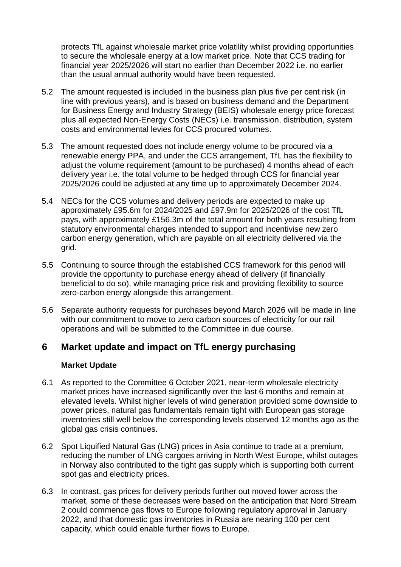protects TfL against wholesale market price volatility whilst providing opportunities to secure the wholesale energy at a low market price. Note that CCS trading for financial year 2025/2026 will start no earlier than December 2022 i.e. no earlier than the usual annual authority would have been requested.

- 5.2 The amount requested is included in the business plan plus five per cent risk (in line with previous years), and is based on business demand and the Department for Business Energy and Industry Strategy (BEIS) wholesale energy price forecast plus all expected Non-Energy Costs (NECs) i.e. transmission, distribution, system costs and environmental levies for CCS procured volumes.
- 5.3 The amount requested does not include energy volume to be procured via a renewable energy PPA, and under the CCS arrangement, TfL has the flexibility to adjust the volume requirement (amount to be purchased) 4 months ahead of each delivery year i.e. the total volume to be hedged through CCS for financial year 2025/2026 could be adjusted at any time up to approximately December 2024.
- 5.4 NECs for the CCS volumes and delivery periods are expected to make up approximately £95.6m for 2024/2025 and £97.9m for 2025/2026 of the cost TfL pays, with approximately £156.3m of the total amount for both years resulting from statutory environmental charges intended to support and incentivise new zero carbon energy generation, which are payable on all electricity delivered via the grid.
- 5.5 Continuing to source through the established CCS framework for this period will provide the opportunity to purchase energy ahead of delivery (if financially beneficial to do so), while managing price risk and providing flexibility to source zero-carbon energy alongside this arrangement.
- 5.6 Separate authority requests for purchases beyond March 2026 will be made in line with our commitment to move to zero carbon sources of electricity for our rail operations and will be submitted to the Committee in due course.

## **6 Market update and impact on TfL energy purchasing**

### **Market Update**

- 6.1 As reported to the Committee 6 October 2021, near-term wholesale electricity market prices have increased significantly over the last 6 months and remain at elevated levels. Whilst higher levels of wind generation provided some downside to power prices, natural gas fundamentals remain tight with European gas storage inventories still well below the corresponding levels observed 12 months ago as the global gas crisis continues.
- 6.2 Spot Liquified Natural Gas (LNG) prices in Asia continue to trade at a premium, reducing the number of LNG cargoes arriving in North West Europe, whilst outages in Norway also contributed to the tight gas supply which is supporting both current spot gas and electricity prices.
- 6.3 In contrast, gas prices for delivery periods further out moved lower across the market, some of these decreases were based on the anticipation that Nord Stream 2 could commence gas flows to Europe following regulatory approval in January 2022, and that domestic gas inventories in Russia are nearing 100 per cent capacity, which could enable further flows to Europe.